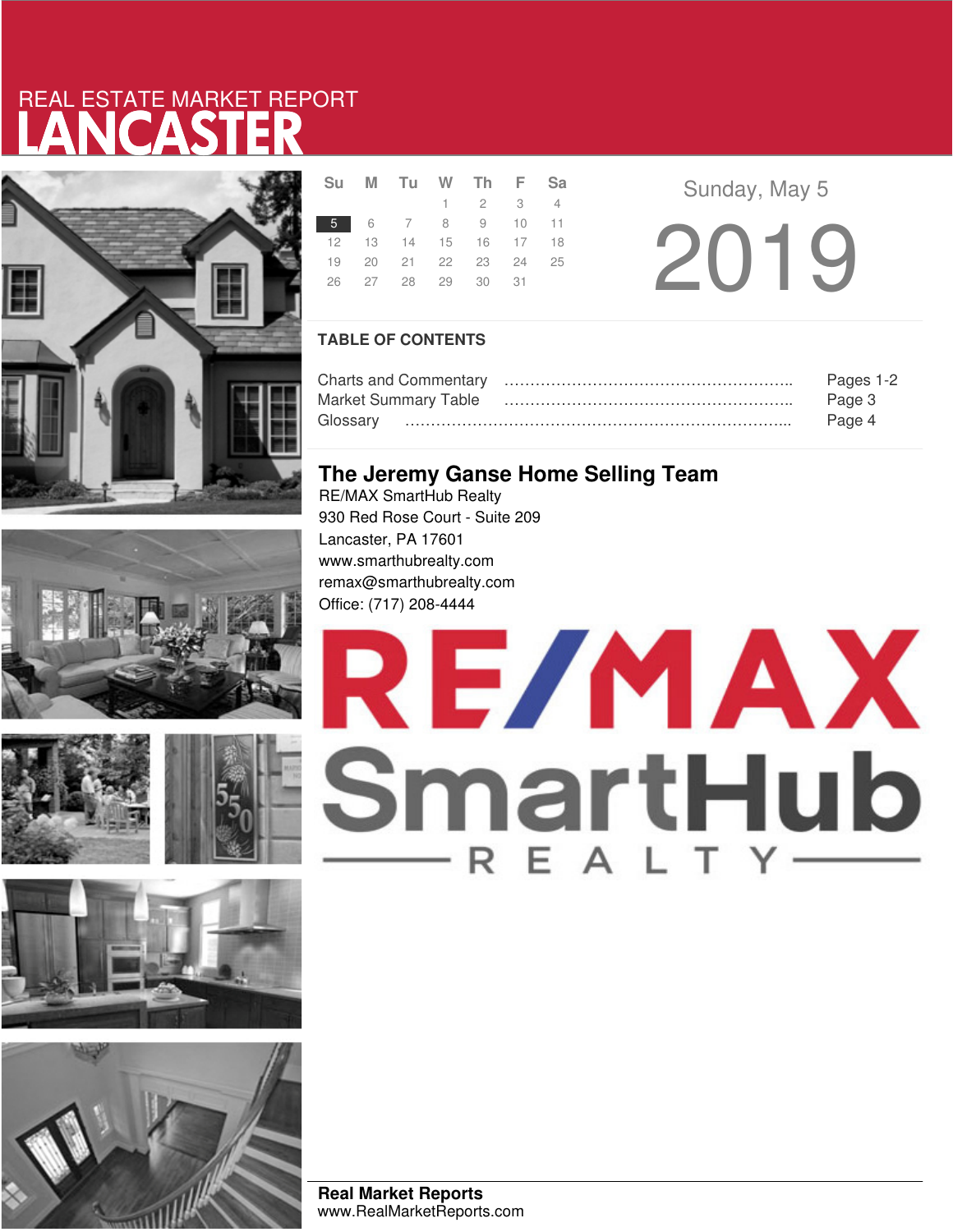# LANCASTER REAL ESTATE MARKET REPORT









|  |                            | Su M Tu W Th F Sa |                 |  |  |
|--|----------------------------|-------------------|-----------------|--|--|
|  |                            |                   | $1 \t2 \t3 \t4$ |  |  |
|  | 5 6 7 8 9 10 11            |                   |                 |  |  |
|  | 12  13  14  15  16  17  18 |                   |                 |  |  |
|  | 19  20  21  22  23  24  25 |                   |                 |  |  |
|  | 26 27 28 29 30 31          |                   |                 |  |  |
|  |                            |                   |                 |  |  |

2019 Sunday, May 5

### **TABLE OF CONTENTS**

|                      | Pages 1-2 |
|----------------------|-----------|
| Market Summary Table | Page 3    |
|                      | Page 4    |

### **The Jeremy Ganse Home Selling Team**

RE/MAX SmartHub Realty 930 Red Rose Court - Suite 209 Lancaster, PA 17601 www.smarthubrealty.com remax@smarthubrealty.com Office: (717) 208-4444



**Real Market Reports** www.RealMarketReports.com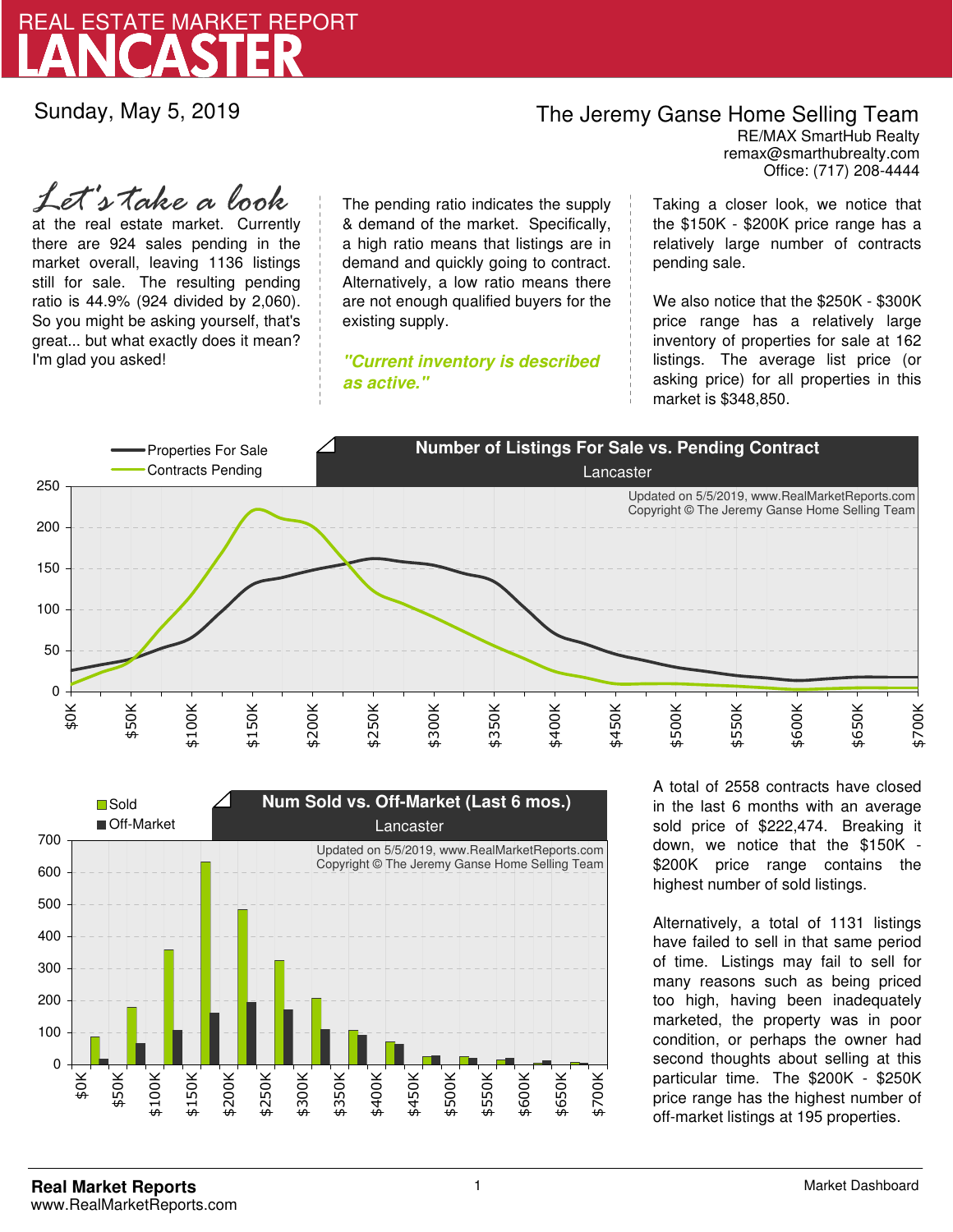

Sunday, May 5, 2019

## The Jeremy Ganse Home Selling Team

remax@smarthubrealty.com RE/MAX SmartHub Realty Office: (717) 208-4444

at the real estate market. Currently there are 924 sales pending in the market overall, leaving 1136 listings still for sale. The resulting pending ratio is 44.9% (924 divided by 2,060). So you might be asking yourself, that's great... but what exactly does it mean? I'm glad you asked! *Let's take a look*

The pending ratio indicates the supply & demand of the market. Specifically, a high ratio means that listings are in demand and quickly going to contract. Alternatively, a low ratio means there are not enough qualified buyers for the existing supply.

**"Current inventory is described as active."**

Taking a closer look, we notice that the \$150K - \$200K price range has a relatively large number of contracts pending sale.

We also notice that the \$250K - \$300K price range has a relatively large inventory of properties for sale at 162 listings. The average list price (or asking price) for all properties in this market is \$348,850.





A total of 2558 contracts have closed in the last 6 months with an average sold price of \$222,474. Breaking it down, we notice that the \$150K - \$200K price range contains the highest number of sold listings.

Alternatively, a total of 1131 listings have failed to sell in that same period of time. Listings may fail to sell for many reasons such as being priced too high, having been inadequately marketed, the property was in poor condition, or perhaps the owner had second thoughts about selling at this particular time. The \$200K - \$250K price range has the highest number of off-market listings at 195 properties.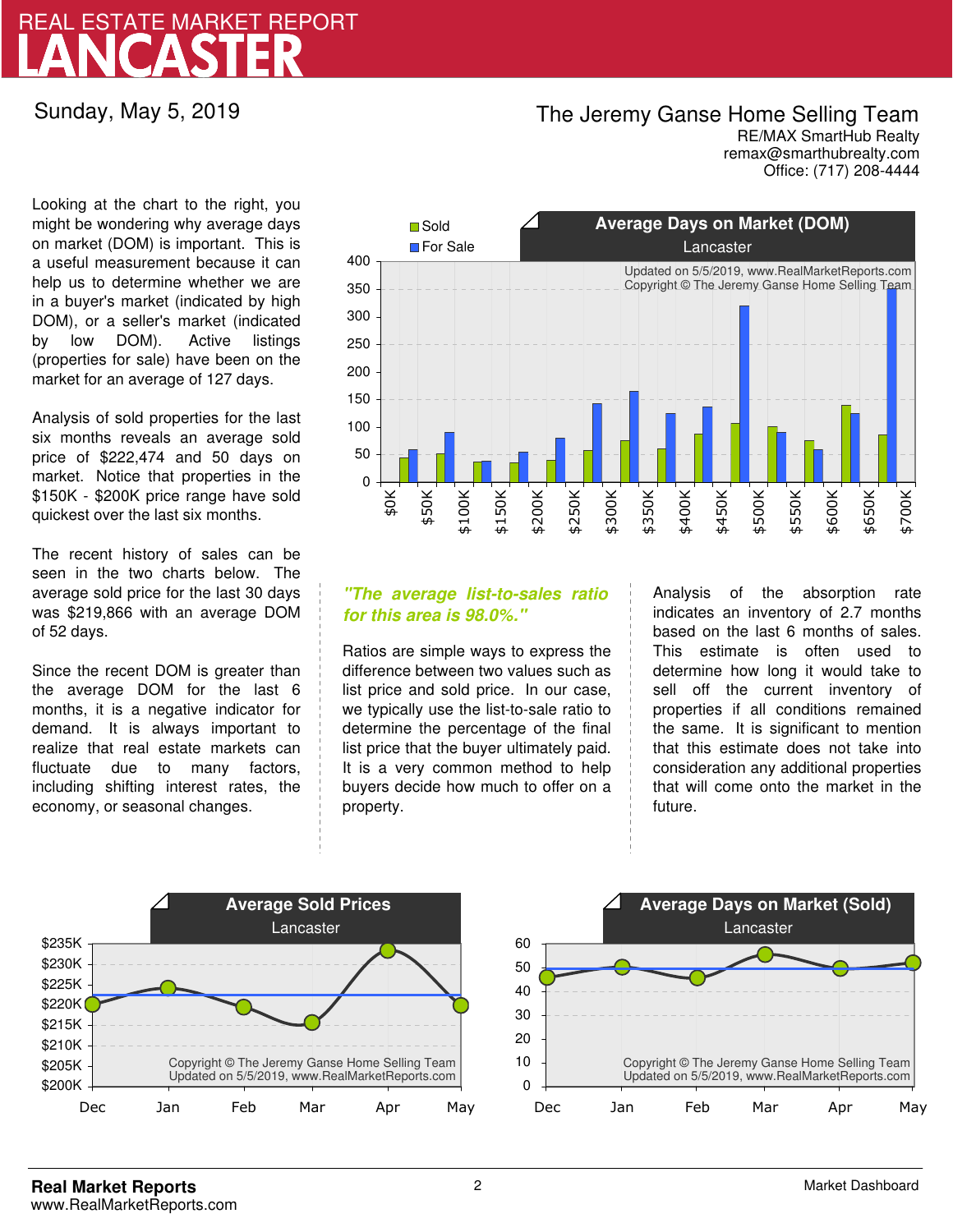## LANCASTER REAL ESTATE MARKET REPORT

Sunday, May 5, 2019

### The Jeremy Ganse Home Selling Team

remax@smarthubrealty.com RE/MAX SmartHub Realty Office: (717) 208-4444

Looking at the chart to the right, you might be wondering why average days on market (DOM) is important. This is a useful measurement because it can help us to determine whether we are in a buyer's market (indicated by high DOM), or a seller's market (indicated by low DOM). Active listings (properties for sale) have been on the market for an average of 127 days.

Analysis of sold properties for the last six months reveals an average sold price of \$222,474 and 50 days on market. Notice that properties in the \$150K - \$200K price range have sold quickest over the last six months.

The recent history of sales can be seen in the two charts below. The average sold price for the last 30 days was \$219,866 with an average DOM of 52 days.

Since the recent DOM is greater than the average DOM for the last 6 months, it is a negative indicator for demand. It is always important to realize that real estate markets can fluctuate due to many factors, including shifting interest rates, the economy, or seasonal changes.



### **"The average list-to-sales ratio for this area is 98.0%."**

Ratios are simple ways to express the difference between two values such as list price and sold price. In our case, we typically use the list-to-sale ratio to determine the percentage of the final list price that the buyer ultimately paid. It is a very common method to help buyers decide how much to offer on a property.

Analysis of the absorption rate indicates an inventory of 2.7 months based on the last 6 months of sales. This estimate is often used to determine how long it would take to sell off the current inventory of properties if all conditions remained the same. It is significant to mention that this estimate does not take into consideration any additional properties that will come onto the market in the future.



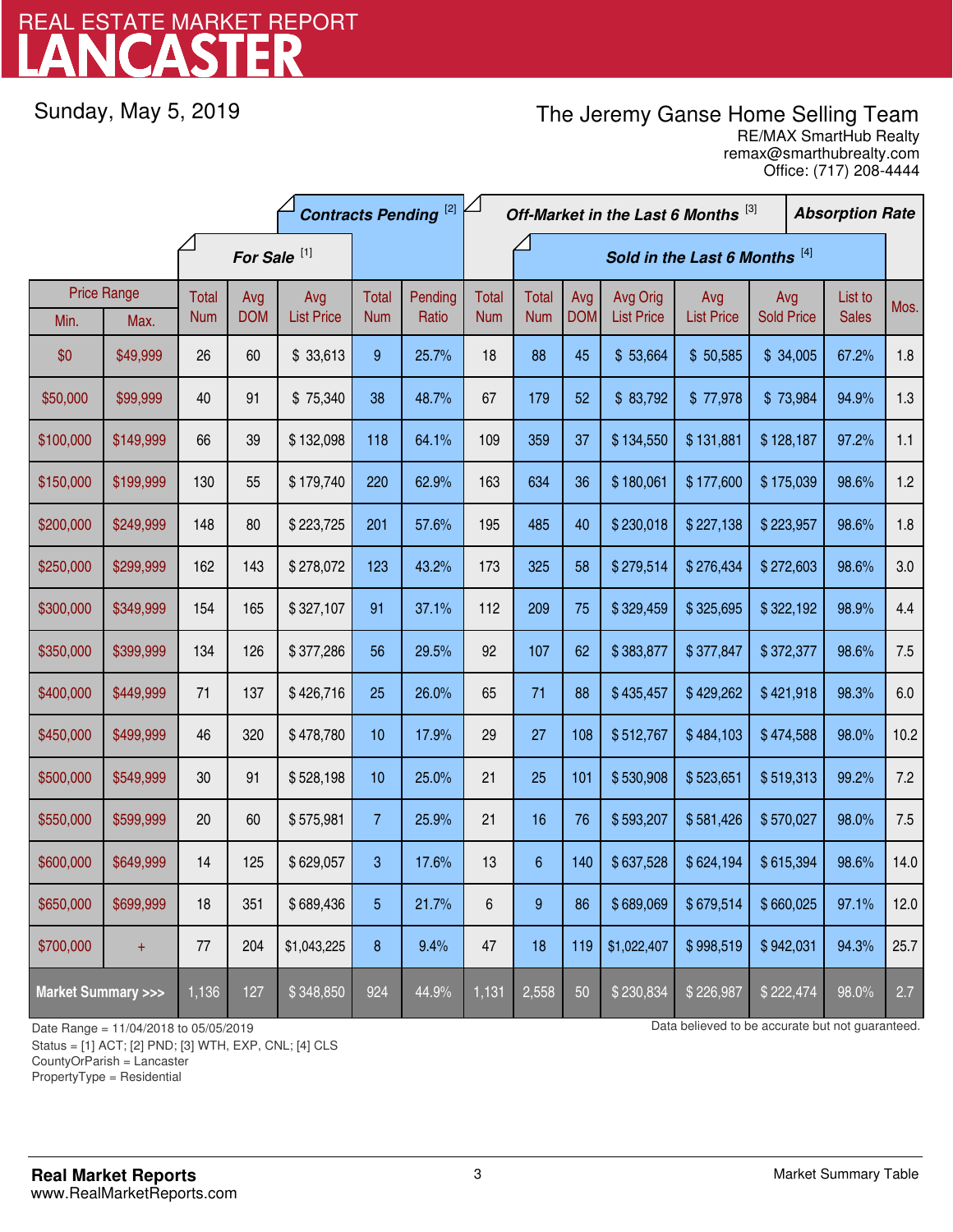# LANCASTER REAL ESTATE MARKET REPORT

Sunday, May 5, 2019

## The Jeremy Ganse Home Selling Team

remax@smarthubrealty.com RE/MAX SmartHub Realty Office: (717) 208-4444

|                                    |           | <b>Contracts Pending</b> <sup>[2]</sup> |            |                   |                |         | Off-Market in the Last 6 Months [3] |                |            |                   |                   | <b>Absorption Rate</b> |                |              |      |
|------------------------------------|-----------|-----------------------------------------|------------|-------------------|----------------|---------|-------------------------------------|----------------|------------|-------------------|-------------------|------------------------|----------------|--------------|------|
|                                    |           | For Sale <sup>[1]</sup>                 |            |                   |                |         | Sold in the Last 6 Months [4]       |                |            |                   |                   |                        |                |              |      |
| <b>Price Range</b>                 |           | <b>Total</b>                            | Avg        | Avg               | Total          | Pending | Total                               | <b>Total</b>   | Avg        | Avg Orig          | Avg               |                        | List to<br>Avg |              | Mos. |
| Min.                               | Max.      | <b>Num</b>                              | <b>DOM</b> | <b>List Price</b> | <b>Num</b>     | Ratio   | <b>Num</b>                          | <b>Num</b>     | <b>DOM</b> | <b>List Price</b> | <b>List Price</b> | <b>Sold Price</b>      |                | <b>Sales</b> |      |
| \$0                                | \$49,999  | 26                                      | 60         | \$33,613          | 9              | 25.7%   | 18                                  | 88             | 45         | \$53,664          | \$50,585          | \$34,005               |                | 67.2%        | 1.8  |
| \$50,000                           | \$99,999  | 40                                      | 91         | \$75,340          | 38             | 48.7%   | 67                                  | 179            | 52         | \$83,792          | \$77,978          | \$73,984               |                | 94.9%        | 1.3  |
| \$100,000                          | \$149,999 | 66                                      | 39         | \$132,098         | 118            | 64.1%   | 109                                 | 359            | 37         | \$134,550         | \$131,881         | \$128,187              |                | 97.2%        | 1.1  |
| \$150,000                          | \$199,999 | 130                                     | 55         | \$179,740         | 220            | 62.9%   | 163                                 | 634            | 36         | \$180,061         | \$177,600         | \$175,039              |                | 98.6%        | 1.2  |
| \$200,000                          | \$249,999 | 148                                     | 80         | \$223,725         | 201            | 57.6%   | 195                                 | 485            | 40         | \$230,018         | \$227,138         | \$223,957              |                | 98.6%        | 1.8  |
| \$250,000                          | \$299,999 | 162                                     | 143        | \$278,072         | 123            | 43.2%   | 173                                 | 325            | 58         | \$279,514         | \$276,434         | \$272,603              |                | 98.6%        | 3.0  |
| \$300,000                          | \$349,999 | 154                                     | 165        | \$327,107         | 91             | 37.1%   | 112                                 | 209            | 75         | \$329,459         | \$325,695         | \$322,192              |                | 98.9%        | 4.4  |
| \$350,000                          | \$399,999 | 134                                     | 126        | \$377,286         | 56             | 29.5%   | 92                                  | 107            | 62         | \$383,877         | \$377,847         | \$372,377              |                | 98.6%        | 7.5  |
| \$400,000                          | \$449,999 | 71                                      | 137        | \$426,716         | 25             | 26.0%   | 65                                  | 71             | 88         | \$435,457         | \$429,262         | \$421,918              |                | 98.3%        | 6.0  |
| \$450,000                          | \$499,999 | 46                                      | 320        | \$478,780         | 10             | 17.9%   | 29                                  | 27             | 108        | \$512,767         | \$484,103         | \$474,588              |                | 98.0%        | 10.2 |
| \$500,000                          | \$549,999 | 30                                      | 91         | \$528,198         | 10             | 25.0%   | 21                                  | 25             | 101        | \$530,908         | \$523,651         | \$519,313              |                | 99.2%        | 7.2  |
| \$550,000                          | \$599,999 | 20                                      | 60         | \$575,981         | $\overline{7}$ | 25.9%   | 21                                  | 16             | 76         | \$593,207         | \$581,426         | \$570,027              |                | 98.0%        | 7.5  |
| \$600,000                          | \$649,999 | 14                                      | 125        | \$629,057         | 3              | 17.6%   | 13                                  | $6\phantom{1}$ | 140        | \$637,528         | \$624,194         | \$615,394              |                | 98.6%        | 14.0 |
| \$650,000                          | \$699,999 | 18                                      | 351        | \$689,436         | 5              | 21.7%   | 6                                   | 9              | 86         | \$689,069         | \$679,514         | \$660,025              |                | 97.1%        | 12.0 |
| \$700,000                          | $\pm$     | 77                                      | 204        | \$1,043,225       | 8              | 9.4%    | 47                                  | 18             | 119        | \$1,022,407       | \$998,519         | \$942,031              |                | 94.3%        | 25.7 |
| <b>Market Summary &gt;&gt;&gt;</b> |           | 1,136                                   | 127        | \$348,850         | 924            | 44.9%   | 1,131                               | 2,558          | 50         | \$230,834         | \$226,987         | \$222,474              |                | 98.0%        | 2.7  |

Status = [1] ACT; [2] PND; [3] WTH, EXP, CNL; [4] CLS

CountyOrParish = Lancaster

PropertyType = Residential

-

Date Range = 11/04/2018 to 05/05/2019 Data believed to be accurate but not guaranteed.